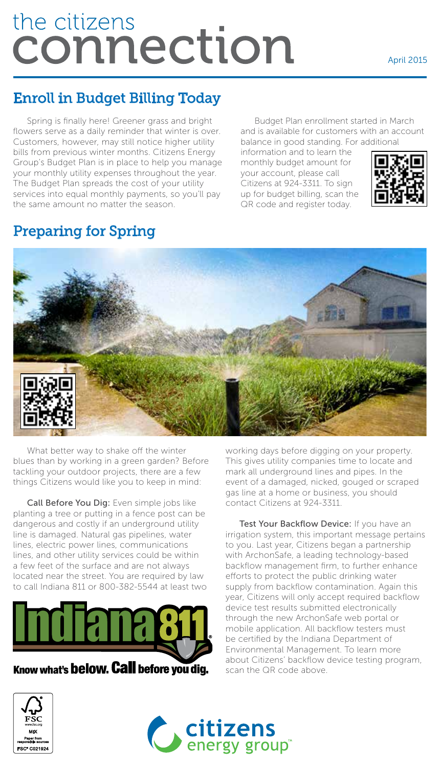# the citizens the citizens<br>CONNection

#### April 2015

## Enroll in Budget Billing Today

Spring is finally here! Greener grass and bright flowers serve as a daily reminder that winter is over. Customers, however, may still notice higher utility bills from previous winter months. Citizens Energy Group's Budget Plan is in place to help you manage your monthly utility expenses throughout the year. The Budget Plan spreads the cost of your utility services into equal monthly payments, so you'll pay the same amount no matter the season.

Budget Plan enrollment started in March and is available for customers with an account balance in good standing. For additional

information and to learn the monthly budget amount for your account, please call Citizens at 924-3311. To sign up for budget billing, scan the QR code and register today.



### Preparing for Spring



What better way to shake off the winter blues than by working in a green garden? Before tackling your outdoor projects, there are a few things Citizens would like you to keep in mind:

Call Before You Dig: Even simple jobs like planting a tree or putting in a fence post can be dangerous and costly if an underground utility line is damaged. Natural gas pipelines, water lines, electric power lines, communications lines, and other utility services could be within a few feet of the surface and are not always located near the street. You are required by law to call Indiana 811 or 800-382-5544 at least two



This gives utility companies time to locate and mark all underground lines and pipes. In the event of a damaged, nicked, gouged or scraped gas line at a home or business, you should contact Citizens at 924-3311.

working days before digging on your property.

Test Your Backflow Device: If you have an irrigation system, this important message pertains to you. Last year, Citizens began a partnership with ArchonSafe, a leading technology-based backflow management firm, to further enhance efforts to protect the public drinking water supply from backflow contamination. Again this year, Citizens will only accept required backflow device test results submitted electronically through the new ArchonSafe web portal or mobile application. All backflow testers must be certified by the Indiana Department of Environmental Management. To learn more about Citizens' backflow device testing program, scan the QR code above.